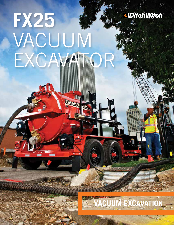

# **FX25** VACUUM EXCAWATT

Difehy

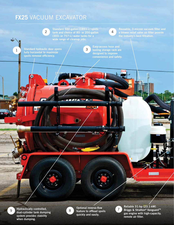## **FX25** VACUUM EXCAVATOR

Standard 500-gallon (1893-L) spoils tank and choice of 80- or 200-gallon (303- or 757-L) water tanks for a wide range of cleanup jobs. 2

3

 $\mathcal{L} = \mathcal{L}$ 

*Monm*mm



a blower relief valve air filter provide the industry's best filtration.

Standard hydraulic door opens fully horizontal to maximize spoils removal efficiency.

1

tooling storage rack are designed to improve convenience and safety.

Hydraulically controlled, dual-cylinder tank dumping system provides stability when dumping.

9



Optional reverse-flow feature to offload spoils quickly and easily.

7

Reliable 31-hp (23.1-kW) Briggs & Stratton® Vanguard™ gas engine with high-capacity, remote air filter.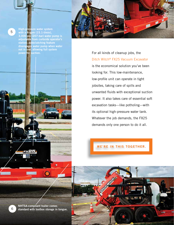

5



For all kinds of cleanup jobs, the Ditch Witch® FX25 Vacuum Excavator is the economical solution you've been looking for. This low-maintenance, low-profile unit can operate in tight jobsites, taking care of spills and unwanted fluids with exceptional suction power. It also takes care of essential soft excavation tasks—like potholing—with its optional high-pressure water tank. Whatever the job demands, the FX25 demands only one person to do it all.

**WE'RE IN THIS TOGETHER.** 

NHTSA-compliant trailer comes  $6$  standard with toolbox storage in tongue.

ΞХ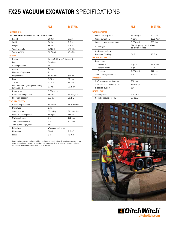## **FX25 VACUUM EXCAVATOR** SPECIFICATIONS

| <b>DIMENSIONS</b>                                |                              |                          |
|--------------------------------------------------|------------------------------|--------------------------|
| 500 GAL SPOILS/80 GAL WATER ON T95/T9SH          |                              |                          |
| Length                                           | 200 in                       | 5.1 m                    |
| Width                                            | 96 in                        | 2.3 <sub>m</sub>         |
| Height                                           | 86 in                        | 2.2 m                    |
| Weight, empty                                    | 5,410 lb                     | 2454 kg                  |
| <b>Trailer GVWR</b>                              | 10.000 lb                    | 4536 kg                  |
| <b>POWER</b>                                     |                              |                          |
| Engine                                           | Briggs & Stratton® Vanguard™ |                          |
| Fuel                                             | Gasoline                     |                          |
| Cooling medium                                   | Air                          |                          |
| Aspiration                                       | Natural                      |                          |
| Number of cylinders                              | $\overline{c}$               |                          |
| Displacement                                     | 54.68 in $3$                 | 896 cc                   |
| Bore                                             | 3.37 in                      | 86 mm                    |
| Stroke                                           | 3.07 in                      | 78 mm                    |
| Manufacturer's gross power rating<br>(SAE J1940) | 31 hp                        | 23.1 kW                  |
| Rated speed                                      | 3,600 rpm                    |                          |
| Emissions compliance                             | EPA LSI                      | EU Stage II              |
| Fuel tank capacity                               | $6.9$ gal                    | 26.1L                    |
| <b>VACUUM SYSTEM</b>                             |                              |                          |
| Blower displacement                              | 543 cfm                      | 15.3 m <sup>3</sup> /min |
| Drive type                                       | Belt                         |                          |
| Vacuum, max                                      | 15 in Hg                     | 381 mm Hg                |
| Vacuum tank capacity                             | 500 gal                      | 1893L                    |
| Outlet valve size                                | 6 in                         | 152 mm                   |
| Tank inlet valve size                            | $4$ in                       | 102 mm                   |
| Tank dump angle, max                             | $45^{\circ}$                 |                          |
| Filter type                                      | Washable polyester           |                          |
| Filter area                                      | 100 ft <sup>2</sup>          | $9.3 \text{ m}^2$        |
| Hose                                             | 3 in                         | 76 mm                    |
|                                                  |                              |                          |

Specifications are general and subject to change without notice. If exact measurements are required, equipment should be weighed and measured. Due to selected options, delivered equipment may not necessarily match that shown.

| <b>WATER SYSTEM</b>          |                                                  |                   |
|------------------------------|--------------------------------------------------|-------------------|
| Water tank capacity          | 80/200 gal                                       | 303/757L          |
| Water pump flow              | 4 gpm                                            | 15.1 l/min        |
| Water pump pressure, max     | 3,000 psi                                        | 207 har           |
| Clutch type                  | Electric pump clutch w/auto<br>de-clutch feature |                   |
| Antifreeze system            |                                                  |                   |
| Hose reel (locking)          | 50 ft                                            | 15.3 <sub>m</sub> |
| <b>HYDRAULIC SYSTEM</b>      |                                                  |                   |
| Gear pump                    |                                                  |                   |
| Flow rate                    | 3 gpm                                            | 11.4 l/min        |
| Reservoir size               | 6 gal                                            | 22.71             |
| Pressure                     | 2,500 psi                                        | 172 har           |
| Tank dump cylinders (2)      | $3$ in                                           | 76 mm             |
| <b>BATTERY</b>               |                                                  |                   |
| SAE reserve capacity rating  | $110$ min                                        |                   |
| SAE cold crank @ 0°F (-18°C) | 800 amps                                         |                   |
| Electrical system            | 12V                                              |                   |
| <b>NOISE LEVEL</b>           |                                                  |                   |
| Sound power                  | 110 dBA                                          |                   |
|                              |                                                  |                   |

**U.S. METRIC**





#### **U.S. METRIC**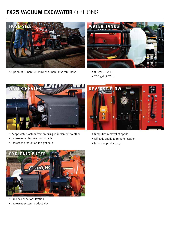## **FX25 VACUUM EXCAVATOR** OPTIONS



• Option of 3-inch (76-mm) or 4-inch (102-mm) hose



- 80 gal (303 L)
- 200 gal (757 L)



- Keeps water system from freezing in inclement weather
- Increases wintertime productivity
- Increases production in tight soils



- Simplifies removal of spoils
- Offloads spoils to remote location
- Improves productivity



- Provides superior filtration
- Increases system productivity